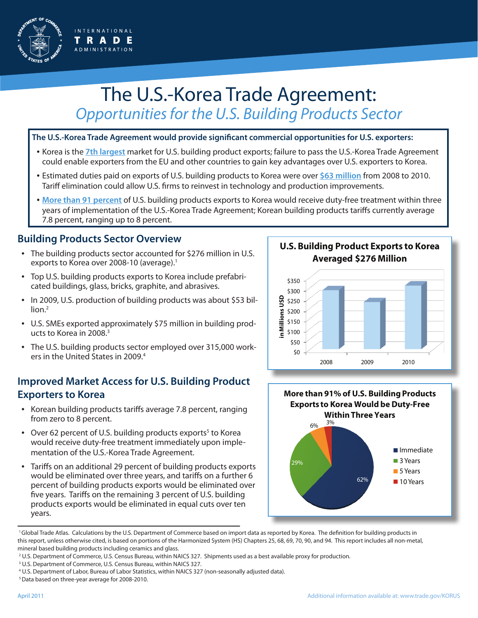

# The U.S.-Korea Trade Agreement: *Opportunities for the U.S. Building Products Sector*

#### **The U.S.-Korea Trade Agreement would provide significant commercial opportunities for U.S. exporters:**

- Korea is the **7th largest** market for U.S. building product exports; failure to pass the U.S.-Korea Trade Agreement could enable exporters from the EU and other countries to gain key advantages over U.S. exporters to Korea.
- Estimated duties paid on exports of U.S. building products to Korea were over **\$63 million** from 2008 to 2010. Tariff elimination could allow U.S. firms to reinvest in technology and production improvements.
- **More than 91 percent** of U.S. building products exports to Korea would receive duty-free treatment within three years of implementation of the U.S.-Korea Trade Agreement; Korean building products tariffs currently average 7.8 percent, ranging up to 8 percent.

### **Building Products Sector Overview**

- The building products sector accounted for \$276 million in U.S. exports to Korea over 2008-10 (average).<sup>1</sup>
- Top U.S. building products exports to Korea include prefabricated buildings, glass, bricks, graphite, and abrasives.
- In 2009, U.S. production of building products was about \$53 billion.<sup>2</sup>
- U.S. SMEs exported approximately \$75 million in building products to Korea in 2008.3
- The U.S. building products sector employed over 315,000 workers in the United States in 2009.4

#### **Improved Market Access for U.S. Building Product Exporters to Korea**

- Korean building products tariffs average 7.8 percent, ranging from zero to 8 percent.
- Over 62 percent of U.S. building products exports<sup>5</sup> to Korea would receive duty-free treatment immediately upon implementation of the U.S.-Korea Trade Agreement.
- Tariffs on an additional 29 percent of building products exports would be eliminated over three years, and tariffs on a further 6 percent of building products exports would be eliminated over five years. Tariffs on the remaining 3 percent of U.S. building products exports would be eliminated in equal cuts over ten years.

**U.S. Building Product Exports to Korea Averaged \$276 Million**





<sup>1</sup> Global Trade Atlas. Calculations by the U.S. Department of Commerce based on import data as reported by Korea. The definition for building products in this report, unless otherwise cited, is based on portions of the Harmonized System (HS) Chapters 25, 68, 69, 70, 90, and 94. This report includes all non-metal, mineral based building products including ceramics and glass.

<sup>3</sup> U.S. Department of Commerce, U.S. Census Bureau, within NAICS 327.

5 Data based on three-year average for 2008-2010.

<sup>2</sup> U.S. Department of Commerce, U.S. Census Bureau, within NAICS 327. Shipments used as a best available proxy for production.

<sup>4</sup> U.S. Department of Labor, Bureau of Labor Statistics, within NAICS 327 (non-seasonally adjusted data).